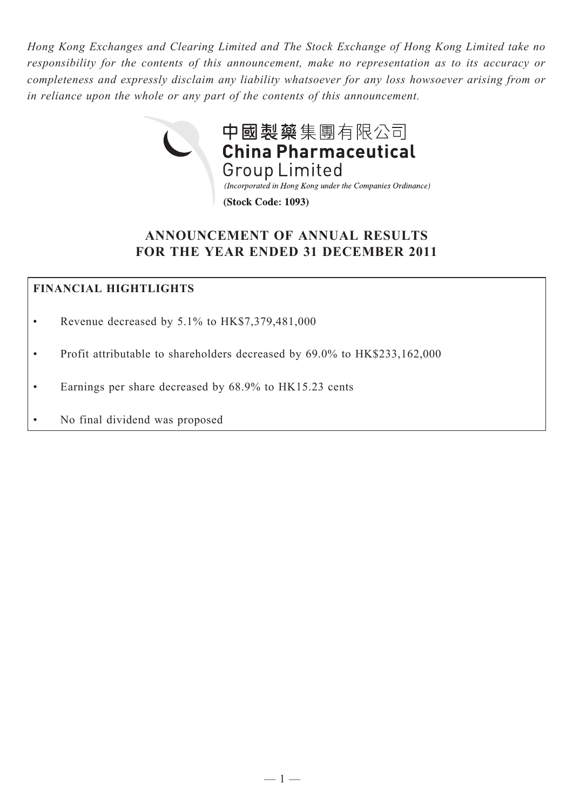*Hong Kong Exchanges and Clearing Limited and The Stock Exchange of Hong Kong Limited take no responsibility for the contents of this announcement, make no representation as to its accuracy or completeness and expressly disclaim any liability whatsoever for any loss howsoever arising from or in reliance upon the whole or any part of the contents of this announcement.*



# **ANNOUNCEMENT OF ANNUAL RESULTS FOR THE YEAR ENDED 31 DECEMBER 2011**

# **FINANCIAL HIGHTLIGHTS**

- Revenue decreased by 5.1% to HK\$7,379,481,000
- Profit attributable to shareholders decreased by 69.0% to HK\$233,162,000
- Earnings per share decreased by 68.9% to HK15.23 cents
- No final dividend was proposed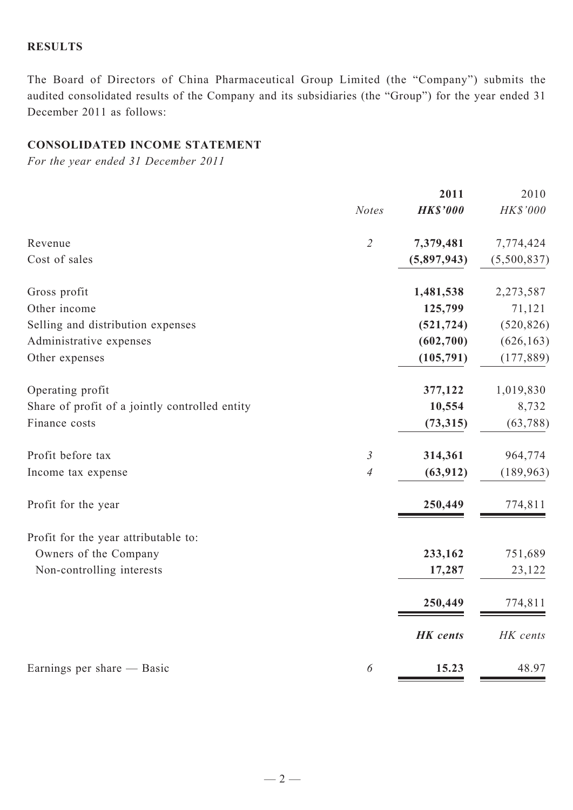## **RESULTS**

The Board of Directors of China Pharmaceutical Group Limited (the "Company") submits the audited consolidated results of the Company and its subsidiaries (the "Group") for the year ended 31 December 2011 as follows:

# **CONSOLIDATED INCOME STATEMENT**

*For the year ended 31 December 2011*

|                                                |                          | 2011            | 2010        |
|------------------------------------------------|--------------------------|-----------------|-------------|
|                                                | <b>Notes</b>             | <b>HK\$'000</b> | HK\$'000    |
| Revenue                                        | $\overline{2}$           | 7,379,481       | 7,774,424   |
| Cost of sales                                  |                          | (5,897,943)     | (5,500,837) |
| Gross profit                                   |                          | 1,481,538       | 2,273,587   |
| Other income                                   |                          | 125,799         | 71,121      |
| Selling and distribution expenses              |                          | (521, 724)      | (520, 826)  |
| Administrative expenses                        |                          | (602,700)       | (626, 163)  |
| Other expenses                                 |                          | (105, 791)      | (177, 889)  |
| Operating profit                               |                          | 377,122         | 1,019,830   |
| Share of profit of a jointly controlled entity |                          | 10,554          | 8,732       |
| Finance costs                                  |                          | (73, 315)       | (63, 788)   |
| Profit before tax                              | $\mathfrak{Z}$           | 314,361         | 964,774     |
| Income tax expense                             | $\overline{\mathcal{A}}$ | (63, 912)       | (189, 963)  |
| Profit for the year                            |                          | 250,449         | 774,811     |
| Profit for the year attributable to:           |                          |                 |             |
| Owners of the Company                          |                          | 233,162         | 751,689     |
| Non-controlling interests                      |                          | 17,287          | 23,122      |
|                                                |                          | 250,449         | 774,811     |
|                                                |                          | <b>HK</b> cents | HK cents    |
| Earnings per share — Basic                     | 6                        | 15.23           | 48.97       |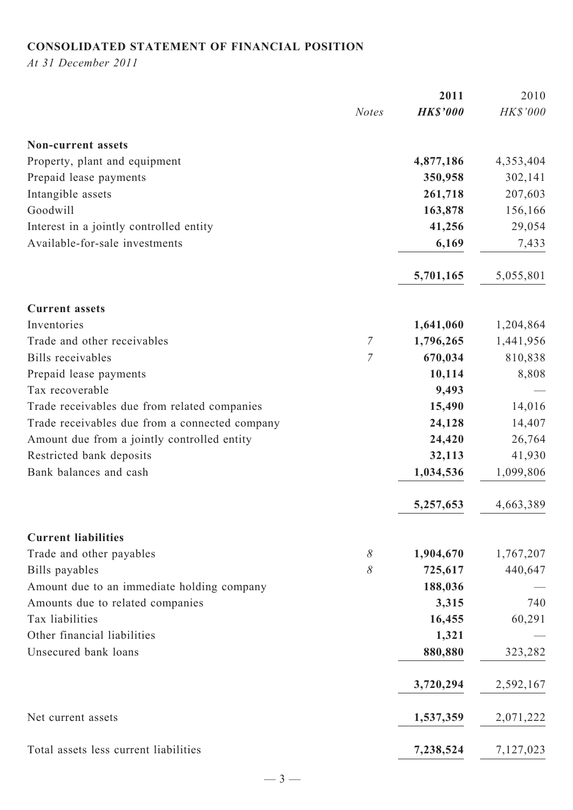# **CONSOLIDATED STATEMENT OF FINANCIAL POSITION**

*At 31 December 2011*

|                                                |                | 2011            | 2010      |
|------------------------------------------------|----------------|-----------------|-----------|
|                                                | <b>Notes</b>   | <b>HK\$'000</b> | HK\$'000  |
| <b>Non-current assets</b>                      |                |                 |           |
| Property, plant and equipment                  |                | 4,877,186       | 4,353,404 |
| Prepaid lease payments                         |                | 350,958         | 302,141   |
| Intangible assets                              |                | 261,718         | 207,603   |
| Goodwill                                       |                | 163,878         | 156,166   |
| Interest in a jointly controlled entity        |                | 41,256          | 29,054    |
| Available-for-sale investments                 |                | 6,169           | 7,433     |
|                                                |                | 5,701,165       | 5,055,801 |
| <b>Current assets</b>                          |                |                 |           |
| Inventories                                    |                | 1,641,060       | 1,204,864 |
| Trade and other receivables                    | $\overline{7}$ | 1,796,265       | 1,441,956 |
| <b>Bills</b> receivables                       | $\mathcal T$   | 670,034         | 810,838   |
| Prepaid lease payments                         |                | 10,114          | 8,808     |
| Tax recoverable                                |                | 9,493           |           |
| Trade receivables due from related companies   |                | 15,490          | 14,016    |
| Trade receivables due from a connected company |                | 24,128          | 14,407    |
| Amount due from a jointly controlled entity    |                | 24,420          | 26,764    |
| Restricted bank deposits                       |                | 32,113          | 41,930    |
| Bank balances and cash                         |                | 1,034,536       | 1,099,806 |
|                                                |                | 5,257,653       | 4,663,389 |
| <b>Current liabilities</b>                     |                |                 |           |
| Trade and other payables                       | 8              | 1,904,670       | 1,767,207 |
| Bills payables                                 | 8              | 725,617         | 440,647   |
| Amount due to an immediate holding company     |                | 188,036         |           |
| Amounts due to related companies               |                | 3,315           | 740       |
| Tax liabilities                                |                | 16,455          | 60,291    |
| Other financial liabilities                    |                | 1,321           |           |
| Unsecured bank loans                           |                | 880,880         | 323,282   |
|                                                |                | 3,720,294       | 2,592,167 |
| Net current assets                             |                | 1,537,359       | 2,071,222 |
| Total assets less current liabilities          |                | 7,238,524       | 7,127,023 |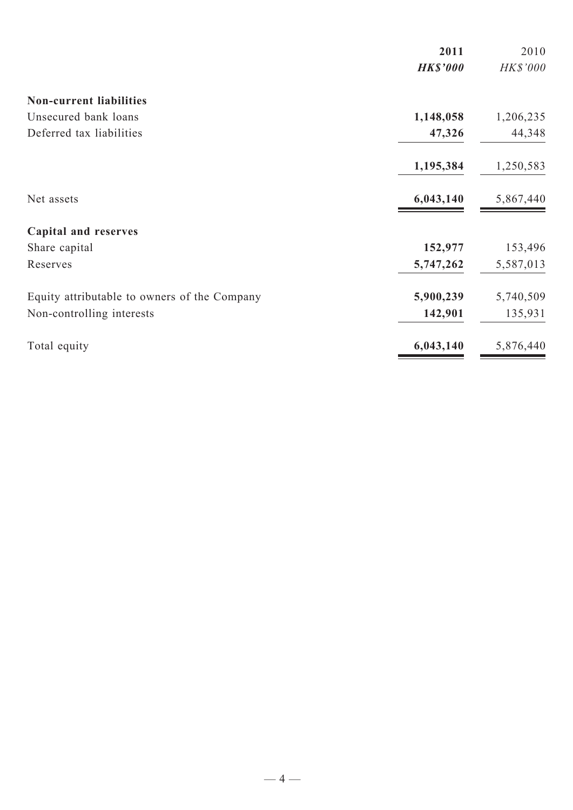|                                              | 2011            | 2010      |
|----------------------------------------------|-----------------|-----------|
|                                              | <b>HK\$'000</b> | HK\$'000  |
| <b>Non-current liabilities</b>               |                 |           |
| Unsecured bank loans                         | 1,148,058       | 1,206,235 |
| Deferred tax liabilities                     | 47,326          | 44,348    |
|                                              | 1,195,384       | 1,250,583 |
| Net assets                                   | 6,043,140       | 5,867,440 |
| <b>Capital and reserves</b>                  |                 |           |
| Share capital                                | 152,977         | 153,496   |
| Reserves                                     | 5,747,262       | 5,587,013 |
| Equity attributable to owners of the Company | 5,900,239       | 5,740,509 |
| Non-controlling interests                    | 142,901         | 135,931   |
| Total equity                                 | 6,043,140       | 5,876,440 |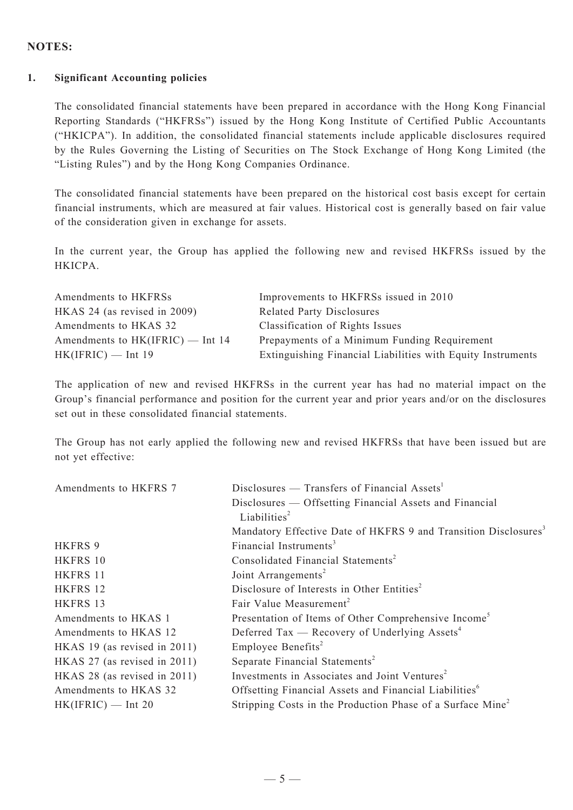### **NOTES:**

#### **1. Significant Accounting policies**

The consolidated financial statements have been prepared in accordance with the Hong Kong Financial Reporting Standards ("HKFRSs") issued by the Hong Kong Institute of Certified Public Accountants ("HKICPA"). In addition, the consolidated financial statements include applicable disclosures required by the Rules Governing the Listing of Securities on The Stock Exchange of Hong Kong Limited (the "Listing Rules") and by the Hong Kong Companies Ordinance.

The consolidated financial statements have been prepared on the historical cost basis except for certain financial instruments, which are measured at fair values. Historical cost is generally based on fair value of the consideration given in exchange for assets.

In the current year, the Group has applied the following new and revised HKFRSs issued by the HKICPA.

| Amendments to HKFRSs               | Improvements to HKFRSs issued in 2010                       |
|------------------------------------|-------------------------------------------------------------|
| HKAS 24 (as revised in 2009)       | <b>Related Party Disclosures</b>                            |
| Amendments to HKAS 32              | Classification of Rights Issues                             |
| Amendments to $HK(IFRIC)$ — Int 14 | Prepayments of a Minimum Funding Requirement                |
| $HK(IFRIC)$ — Int 19               | Extinguishing Financial Liabilities with Equity Instruments |

The application of new and revised HKFRSs in the current year has had no material impact on the Group's financial performance and position for the current year and prior years and/or on the disclosures set out in these consolidated financial statements.

The Group has not early applied the following new and revised HKFRSs that have been issued but are not yet effective:

| Amendments to HKFRS 7           | $Discuss$ — Transfers of Financial Assets <sup>1</sup>                      |
|---------------------------------|-----------------------------------------------------------------------------|
|                                 | Disclosures — Offsetting Financial Assets and Financial                     |
|                                 | Liabilities <sup>2</sup>                                                    |
|                                 | Mandatory Effective Date of HKFRS 9 and Transition Disclosures <sup>3</sup> |
| <b>HKFRS 9</b>                  | Financial Instruments <sup>3</sup>                                          |
| HKFRS 10                        | Consolidated Financial Statements <sup>2</sup>                              |
| HKFRS 11                        | Joint Arrangements <sup>2</sup>                                             |
| HKFRS 12                        | Disclosure of Interests in Other Entities <sup>2</sup>                      |
| HKFRS 13                        | Fair Value Measurement <sup>2</sup>                                         |
| Amendments to HKAS 1            | Presentation of Items of Other Comprehensive Income <sup>5</sup>            |
| Amendments to HKAS 12           | Deferred Tax — Recovery of Underlying Assets <sup>4</sup>                   |
| HKAS 19 (as revised in $2011$ ) | Employee Benefits <sup>2</sup>                                              |
| HKAS 27 (as revised in 2011)    | Separate Financial Statements <sup>2</sup>                                  |
| HKAS 28 (as revised in 2011)    | Investments in Associates and Joint Ventures <sup>2</sup>                   |
| Amendments to HKAS 32           | Offsetting Financial Assets and Financial Liabilities <sup>6</sup>          |
| $HK(IFRIC)$ — Int 20            | Stripping Costs in the Production Phase of a Surface Mine <sup>2</sup>      |
|                                 |                                                                             |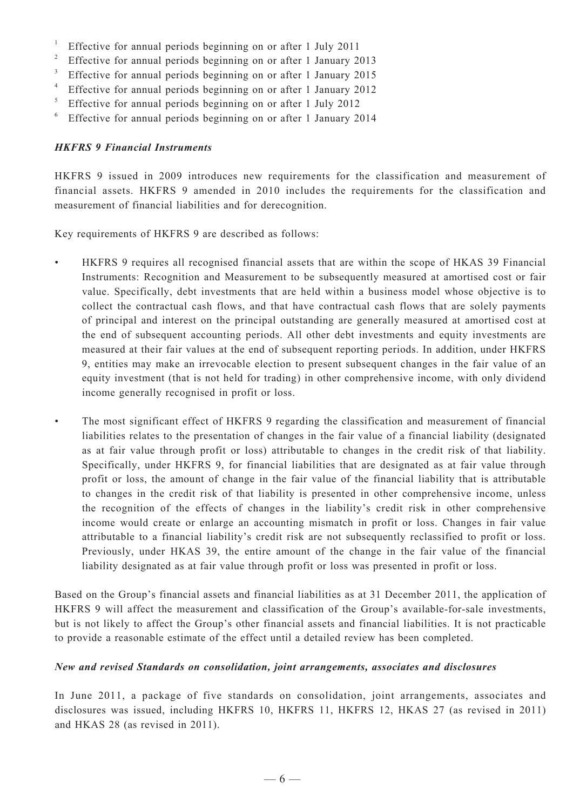- 1 Effective for annual periods beginning on or after 1 July 2011
- 2 Effective for annual periods beginning on or after 1 January 2013
- 3 Effective for annual periods beginning on or after 1 January 2015
- 4 Effective for annual periods beginning on or after 1 January 2012
- 5 Effective for annual periods beginning on or after 1 July 2012
- 6 Effective for annual periods beginning on or after 1 January 2014

#### *HKFRS 9 Financial Instruments*

HKFRS 9 issued in 2009 introduces new requirements for the classification and measurement of financial assets. HKFRS 9 amended in 2010 includes the requirements for the classification and measurement of financial liabilities and for derecognition.

Key requirements of HKFRS 9 are described as follows:

- • HKFRS 9 requires all recognised financial assets that are within the scope of HKAS 39 Financial Instruments: Recognition and Measurement to be subsequently measured at amortised cost or fair value. Specifically, debt investments that are held within a business model whose objective is to collect the contractual cash flows, and that have contractual cash flows that are solely payments of principal and interest on the principal outstanding are generally measured at amortised cost at the end of subsequent accounting periods. All other debt investments and equity investments are measured at their fair values at the end of subsequent reporting periods. In addition, under HKFRS 9, entities may make an irrevocable election to present subsequent changes in the fair value of an equity investment (that is not held for trading) in other comprehensive income, with only dividend income generally recognised in profit or loss.
- • The most significant effect of HKFRS 9 regarding the classification and measurement of financial liabilities relates to the presentation of changes in the fair value of a financial liability (designated as at fair value through profit or loss) attributable to changes in the credit risk of that liability. Specifically, under HKFRS 9, for financial liabilities that are designated as at fair value through profit or loss, the amount of change in the fair value of the financial liability that is attributable to changes in the credit risk of that liability is presented in other comprehensive income, unless the recognition of the effects of changes in the liability's credit risk in other comprehensive income would create or enlarge an accounting mismatch in profit or loss. Changes in fair value attributable to a financial liability's credit risk are not subsequently reclassified to profit or loss. Previously, under HKAS 39, the entire amount of the change in the fair value of the financial liability designated as at fair value through profit or loss was presented in profit or loss.

Based on the Group's financial assets and financial liabilities as at 31 December 2011, the application of HKFRS 9 will affect the measurement and classification of the Group's available-for-sale investments, but is not likely to affect the Group's other financial assets and financial liabilities. It is not practicable to provide a reasonable estimate of the effect until a detailed review has been completed.

#### *New and revised Standards on consolidation, joint arrangements, associates and disclosures*

In June 2011, a package of five standards on consolidation, joint arrangements, associates and disclosures was issued, including HKFRS 10, HKFRS 11, HKFRS 12, HKAS 27 (as revised in 2011) and HKAS 28 (as revised in 2011).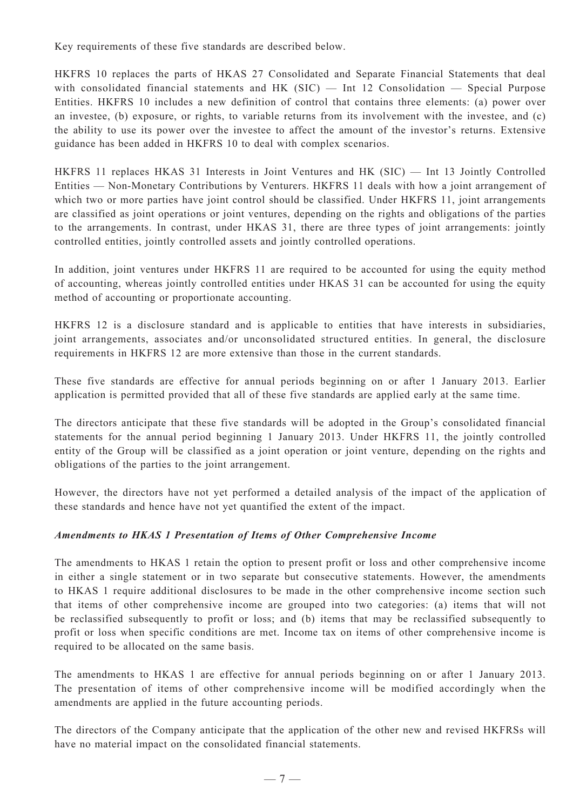Key requirements of these five standards are described below.

HKFRS 10 replaces the parts of HKAS 27 Consolidated and Separate Financial Statements that deal with consolidated financial statements and HK (SIC) — Int 12 Consolidation — Special Purpose Entities. HKFRS 10 includes a new definition of control that contains three elements: (a) power over an investee, (b) exposure, or rights, to variable returns from its involvement with the investee, and (c) the ability to use its power over the investee to affect the amount of the investor's returns. Extensive guidance has been added in HKFRS 10 to deal with complex scenarios.

HKFRS 11 replaces HKAS 31 Interests in Joint Ventures and HK (SIC) — Int 13 Jointly Controlled Entities — Non-Monetary Contributions by Venturers. HKFRS 11 deals with how a joint arrangement of which two or more parties have joint control should be classified. Under HKFRS 11, joint arrangements are classified as joint operations or joint ventures, depending on the rights and obligations of the parties to the arrangements. In contrast, under HKAS 31, there are three types of joint arrangements: jointly controlled entities, jointly controlled assets and jointly controlled operations.

In addition, joint ventures under HKFRS 11 are required to be accounted for using the equity method of accounting, whereas jointly controlled entities under HKAS 31 can be accounted for using the equity method of accounting or proportionate accounting.

HKFRS 12 is a disclosure standard and is applicable to entities that have interests in subsidiaries, joint arrangements, associates and/or unconsolidated structured entities. In general, the disclosure requirements in HKFRS 12 are more extensive than those in the current standards.

These five standards are effective for annual periods beginning on or after 1 January 2013. Earlier application is permitted provided that all of these five standards are applied early at the same time.

The directors anticipate that these five standards will be adopted in the Group's consolidated financial statements for the annual period beginning 1 January 2013. Under HKFRS 11, the jointly controlled entity of the Group will be classified as a joint operation or joint venture, depending on the rights and obligations of the parties to the joint arrangement.

However, the directors have not yet performed a detailed analysis of the impact of the application of these standards and hence have not yet quantified the extent of the impact.

### *Amendments to HKAS 1 Presentation of Items of Other Comprehensive Income*

The amendments to HKAS 1 retain the option to present profit or loss and other comprehensive income in either a single statement or in two separate but consecutive statements. However, the amendments to HKAS 1 require additional disclosures to be made in the other comprehensive income section such that items of other comprehensive income are grouped into two categories: (a) items that will not be reclassified subsequently to profit or loss; and (b) items that may be reclassified subsequently to profit or loss when specific conditions are met. Income tax on items of other comprehensive income is required to be allocated on the same basis.

The amendments to HKAS 1 are effective for annual periods beginning on or after 1 January 2013. The presentation of items of other comprehensive income will be modified accordingly when the amendments are applied in the future accounting periods.

The directors of the Company anticipate that the application of the other new and revised HKFRSs will have no material impact on the consolidated financial statements.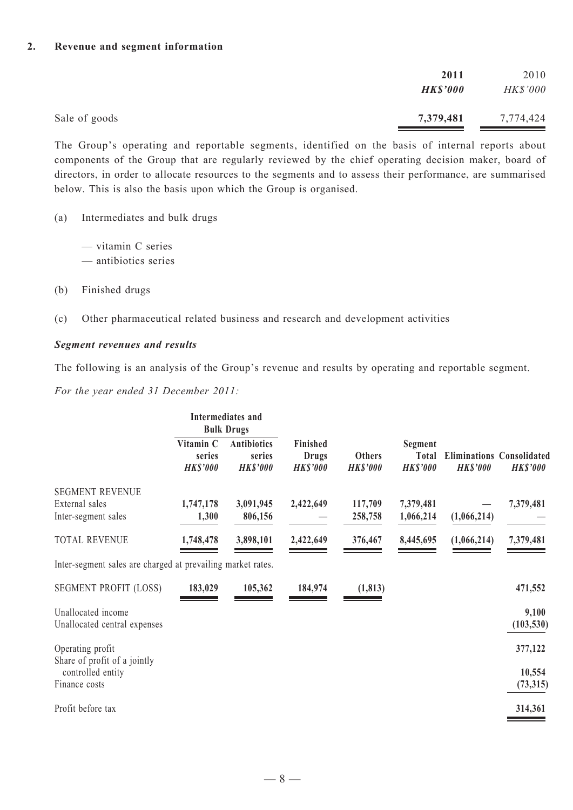#### **2. Revenue and segment information**

|               | 2011<br><b>HK\$'000</b> | 2010<br>HK\$'000 |
|---------------|-------------------------|------------------|
| Sale of goods | 7,379,481               | 7,774,424        |

The Group's operating and reportable segments, identified on the basis of internal reports about components of the Group that are regularly reviewed by the chief operating decision maker, board of directors, in order to allocate resources to the segments and to assess their performance, are summarised below. This is also the basis upon which the Group is organised.

(a) Intermediates and bulk drugs

— vitamin C series — antibiotics series

- (b) Finished drugs
- (c) Other pharmaceutical related business and research and development activities

#### *Segment revenues and results*

The following is an analysis of the Group's revenue and results by operating and reportable segment.

*For the year ended 31 December 2011:*

|                                                                 | Intermediates and<br><b>Bulk Drugs</b> |                                                 |                                             |                                  |                                            |                 |                                                     |
|-----------------------------------------------------------------|----------------------------------------|-------------------------------------------------|---------------------------------------------|----------------------------------|--------------------------------------------|-----------------|-----------------------------------------------------|
|                                                                 | Vitamin C<br>series<br><b>HK\$'000</b> | <b>Antibiotics</b><br>series<br><b>HK\$'000</b> | Finished<br><b>Drugs</b><br><b>HK\$'000</b> | <b>Others</b><br><b>HK\$'000</b> | Segment<br><b>Total</b><br><b>HK\$'000</b> | <b>HK\$'000</b> | <b>Eliminations Consolidated</b><br><b>HK\$'000</b> |
| <b>SEGMENT REVENUE</b><br>External sales<br>Inter-segment sales | 1,747,178<br>1,300                     | 3,091,945<br>806,156                            | 2,422,649                                   | 117,709<br>258,758               | 7,379,481<br>1,066,214                     | (1,066,214)     | 7,379,481                                           |
| <b>TOTAL REVENUE</b>                                            | 1,748,478                              | 3,898,101                                       | 2,422,649                                   | 376,467                          | 8,445,695                                  | (1,066,214)     | 7,379,481                                           |
| Inter-segment sales are charged at prevailing market rates.     |                                        |                                                 |                                             |                                  |                                            |                 |                                                     |
| <b>SEGMENT PROFIT (LOSS)</b>                                    | 183,029                                | 105,362                                         | 184,974                                     | (1, 813)                         |                                            |                 | 471,552                                             |
| Unallocated income<br>Unallocated central expenses              |                                        |                                                 |                                             |                                  |                                            |                 | 9,100<br>(103, 530)                                 |
| Operating profit<br>Share of profit of a jointly                |                                        |                                                 |                                             |                                  |                                            |                 | 377,122                                             |
| controlled entity<br>Finance costs                              |                                        |                                                 |                                             |                                  |                                            |                 | 10,554<br>(73,315)                                  |
| Profit before tax                                               |                                        |                                                 |                                             |                                  |                                            |                 | 314,361                                             |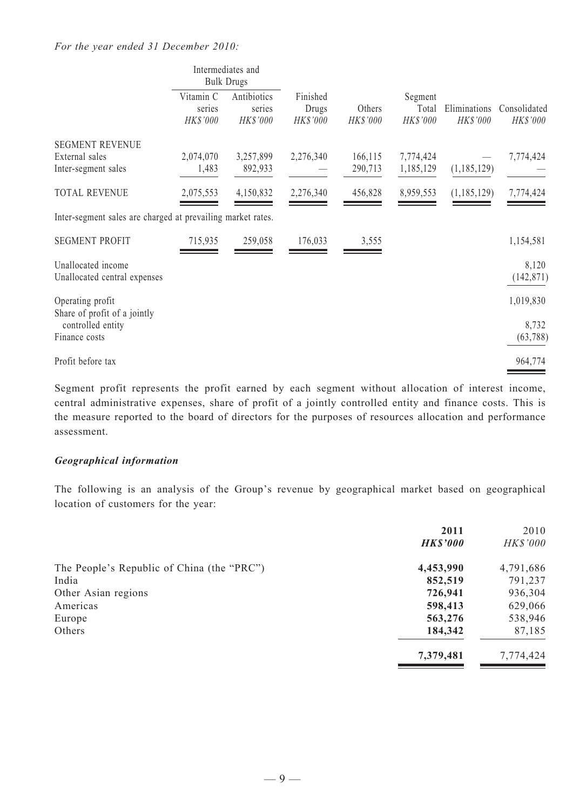#### *For the year ended 31 December 2010:*

|                                                             | Intermediates and<br><b>Bulk Drugs</b> |                                   |                               |                    |                              |                          |                          |
|-------------------------------------------------------------|----------------------------------------|-----------------------------------|-------------------------------|--------------------|------------------------------|--------------------------|--------------------------|
|                                                             | Vitamin C<br>series<br>HK\$'000        | Antibiotics<br>series<br>HK\$'000 | Finished<br>Drugs<br>HK\$'000 | Others<br>HK\$'000 | Segment<br>Total<br>HK\$'000 | Eliminations<br>HK\$'000 | Consolidated<br>HK\$'000 |
| <b>SEGMENT REVENUE</b>                                      |                                        |                                   |                               |                    |                              |                          |                          |
| External sales<br>Inter-segment sales                       | 2,074,070<br>1,483                     | 3,257,899<br>892,933              | 2,276,340                     | 166,115<br>290,713 | 7,774,424<br>1,185,129       | (1, 185, 129)            | 7,774,424                |
| <b>TOTAL REVENUE</b>                                        | 2,075,553                              | 4,150,832                         | 2,276,340                     | 456,828            | 8,959,553                    | (1, 185, 129)            | 7,774,424                |
| Inter-segment sales are charged at prevailing market rates. |                                        |                                   |                               |                    |                              |                          |                          |
| <b>SEGMENT PROFIT</b>                                       | 715,935                                | 259,058                           | 176,033                       | 3,555              |                              |                          | 1,154,581                |
| Unallocated income<br>Unallocated central expenses          |                                        |                                   |                               |                    |                              |                          | 8,120<br>(142, 871)      |
| Operating profit<br>Share of profit of a jointly            |                                        |                                   |                               |                    |                              |                          | 1,019,830                |
| controlled entity<br>Finance costs                          |                                        |                                   |                               |                    |                              |                          | 8,732<br>(63, 788)       |
| Profit before tax                                           |                                        |                                   |                               |                    |                              |                          | 964,774                  |

Segment profit represents the profit earned by each segment without allocation of interest income, central administrative expenses, share of profit of a jointly controlled entity and finance costs. This is the measure reported to the board of directors for the purposes of resources allocation and performance assessment.

#### *Geographical information*

The following is an analysis of the Group's revenue by geographical market based on geographical location of customers for the year:

| 2011      | 2010            |
|-----------|-----------------|
|           | <b>HK\$'000</b> |
| 4,453,990 | 4,791,686       |
| 852,519   | 791,237         |
| 726,941   | 936,304         |
| 598,413   | 629,066         |
| 563,276   | 538,946         |
| 184,342   | 87,185          |
| 7,379,481 | 7,774,424       |
|           | <b>HK\$'000</b> |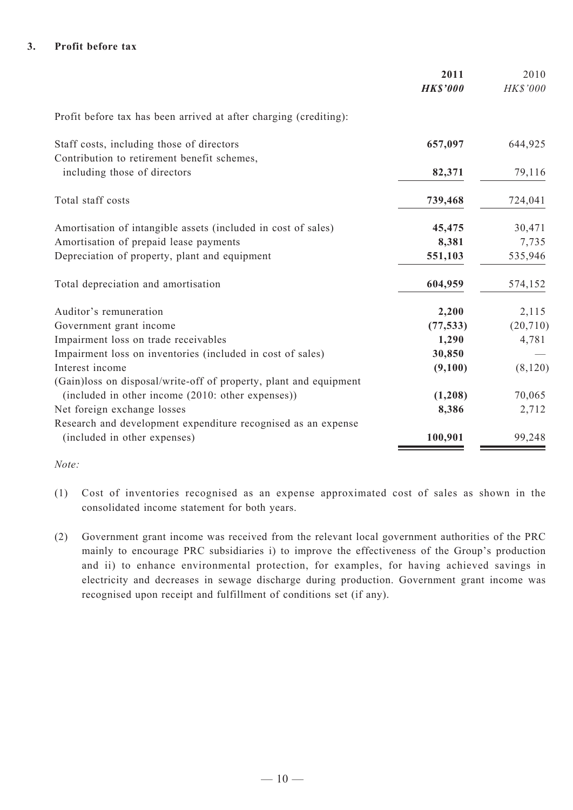#### **3. Profit before tax**

|                                                                                          | 2011<br><b>HK\$'000</b> | 2010<br>HK\$'000 |
|------------------------------------------------------------------------------------------|-------------------------|------------------|
| Profit before tax has been arrived at after charging (crediting):                        |                         |                  |
| Staff costs, including those of directors<br>Contribution to retirement benefit schemes, | 657,097                 | 644,925          |
| including those of directors                                                             | 82,371                  | 79,116           |
| Total staff costs                                                                        | 739,468                 | 724,041          |
| Amortisation of intangible assets (included in cost of sales)                            | 45,475                  | 30,471           |
| Amortisation of prepaid lease payments                                                   | 8,381                   | 7,735            |
| Depreciation of property, plant and equipment                                            | 551,103                 | 535,946          |
| Total depreciation and amortisation                                                      | 604,959                 | 574,152          |
| Auditor's remuneration                                                                   | 2,200                   | 2,115            |
| Government grant income                                                                  | (77, 533)               | (20, 710)        |
| Impairment loss on trade receivables                                                     | 1,290                   | 4,781            |
| Impairment loss on inventories (included in cost of sales)                               | 30,850                  |                  |
| Interest income                                                                          | (9,100)                 | (8,120)          |
| (Gain)loss on disposal/write-off of property, plant and equipment                        |                         |                  |
| (included in other income (2010: other expenses))                                        | (1,208)                 | 70,065           |
| Net foreign exchange losses                                                              | 8,386                   | 2,712            |
| Research and development expenditure recognised as an expense                            |                         |                  |
| (included in other expenses)                                                             | 100,901                 | 99,248           |

*Note:*

- (1) Cost of inventories recognised as an expense approximated cost of sales as shown in the consolidated income statement for both years.
- (2) Government grant income was received from the relevant local government authorities of the PRC mainly to encourage PRC subsidiaries i) to improve the effectiveness of the Group's production and ii) to enhance environmental protection, for examples, for having achieved savings in electricity and decreases in sewage discharge during production. Government grant income was recognised upon receipt and fulfillment of conditions set (if any).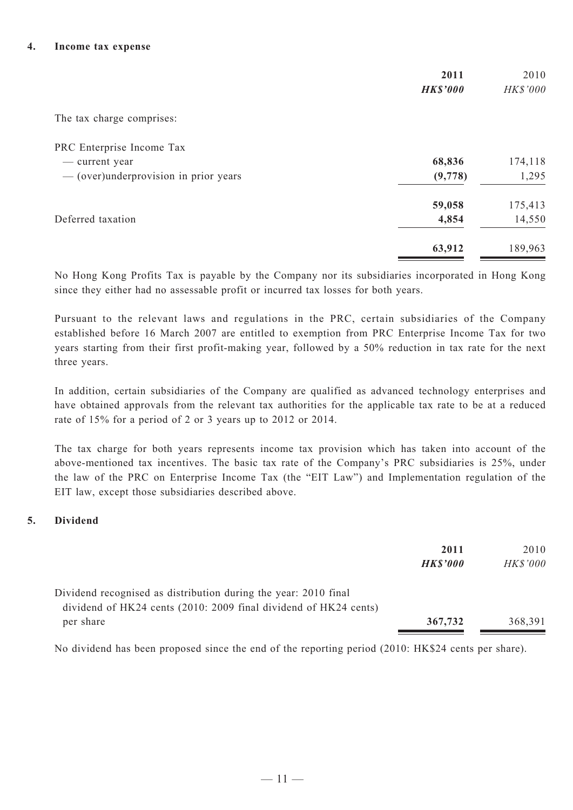#### **4. Income tax expense**

|                                                                                      | 2011<br><b>HK\$'000</b> | 2010<br>HK\$'000  |
|--------------------------------------------------------------------------------------|-------------------------|-------------------|
| The tax charge comprises:                                                            |                         |                   |
| PRC Enterprise Income Tax<br>— current year<br>- (over)underprovision in prior years | 68,836<br>(9,778)       | 174,118<br>1,295  |
| Deferred taxation                                                                    | 59,058<br>4,854         | 175,413<br>14,550 |
|                                                                                      | 63,912                  | 189,963           |

No Hong Kong Profits Tax is payable by the Company nor its subsidiaries incorporated in Hong Kong since they either had no assessable profit or incurred tax losses for both years.

Pursuant to the relevant laws and regulations in the PRC, certain subsidiaries of the Company established before 16 March 2007 are entitled to exemption from PRC Enterprise Income Tax for two years starting from their first profit-making year, followed by a 50% reduction in tax rate for the next three years.

In addition, certain subsidiaries of the Company are qualified as advanced technology enterprises and have obtained approvals from the relevant tax authorities for the applicable tax rate to be at a reduced rate of 15% for a period of 2 or 3 years up to 2012 or 2014.

The tax charge for both years represents income tax provision which has taken into account of the above-mentioned tax incentives. The basic tax rate of the Company's PRC subsidiaries is 25%, under the law of the PRC on Enterprise Income Tax (the "EIT Law") and Implementation regulation of the EIT law, except those subsidiaries described above.

### **5. Dividend**

|                                                                                                                                     | 2011<br><b>HK\$'000</b> | 2010<br><b>HK\$'000</b> |
|-------------------------------------------------------------------------------------------------------------------------------------|-------------------------|-------------------------|
| Dividend recognised as distribution during the year: 2010 final<br>dividend of HK24 cents (2010: 2009 final dividend of HK24 cents) |                         |                         |
| per share                                                                                                                           | 367,732                 | 368,391                 |

No dividend has been proposed since the end of the reporting period (2010: HK\$24 cents per share).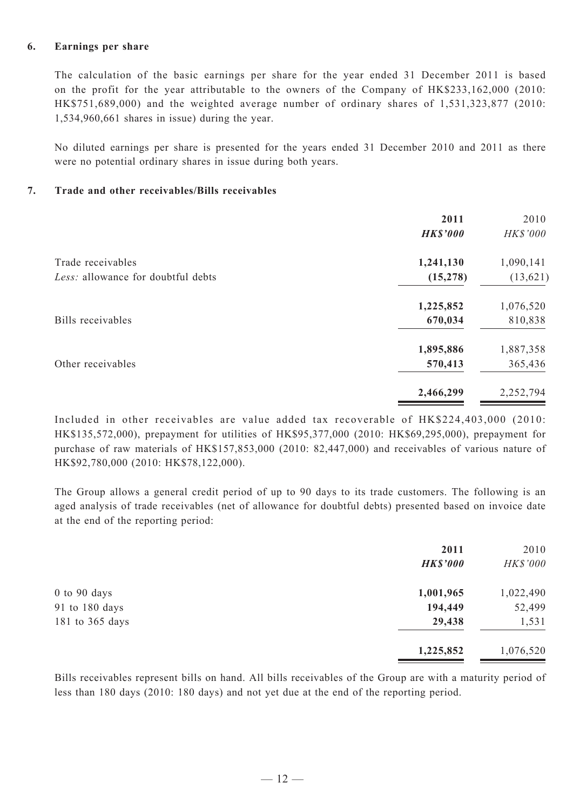#### **6. Earnings per share**

The calculation of the basic earnings per share for the year ended 31 December 2011 is based on the profit for the year attributable to the owners of the Company of HK\$233,162,000 (2010: HK\$751,689,000) and the weighted average number of ordinary shares of 1,531,323,877 (2010: 1,534,960,661 shares in issue) during the year.

No diluted earnings per share is presented for the years ended 31 December 2010 and 2011 as there were no potential ordinary shares in issue during both years.

#### **7. Trade and other receivables/Bills receivables**

|                                    | 2011            | 2010            |
|------------------------------------|-----------------|-----------------|
|                                    | <b>HK\$'000</b> | <b>HK\$'000</b> |
| Trade receivables                  | 1,241,130       | 1,090,141       |
| Less: allowance for doubtful debts | (15, 278)       | (13, 621)       |
|                                    | 1,225,852       | 1,076,520       |
| Bills receivables                  | 670,034         | 810,838         |
|                                    | 1,895,886       | 1,887,358       |
| Other receivables                  | 570,413         | 365,436         |
|                                    | 2,466,299       | 2,252,794       |
|                                    |                 |                 |

Included in other receivables are value added tax recoverable of  $HK$224,403,000$  (2010: HK\$135,572,000), prepayment for utilities of HK\$95,377,000 (2010: HK\$69,295,000), prepayment for purchase of raw materials of HK\$157,853,000 (2010: 82,447,000) and receivables of various nature of HK\$92,780,000 (2010: HK\$78,122,000).

The Group allows a general credit period of up to 90 days to its trade customers. The following is an aged analysis of trade receivables (net of allowance for doubtful debts) presented based on invoice date at the end of the reporting period:

|                  | 2011            | 2010      |
|------------------|-----------------|-----------|
|                  | <b>HK\$'000</b> | HK\$'000  |
| $0$ to $90$ days | 1,001,965       | 1,022,490 |
| 91 to 180 days   | 194,449         | 52,499    |
| 181 to 365 days  | 29,438          | 1,531     |
|                  | 1,225,852       | 1,076,520 |

Bills receivables represent bills on hand. All bills receivables of the Group are with a maturity period of less than 180 days (2010: 180 days) and not yet due at the end of the reporting period.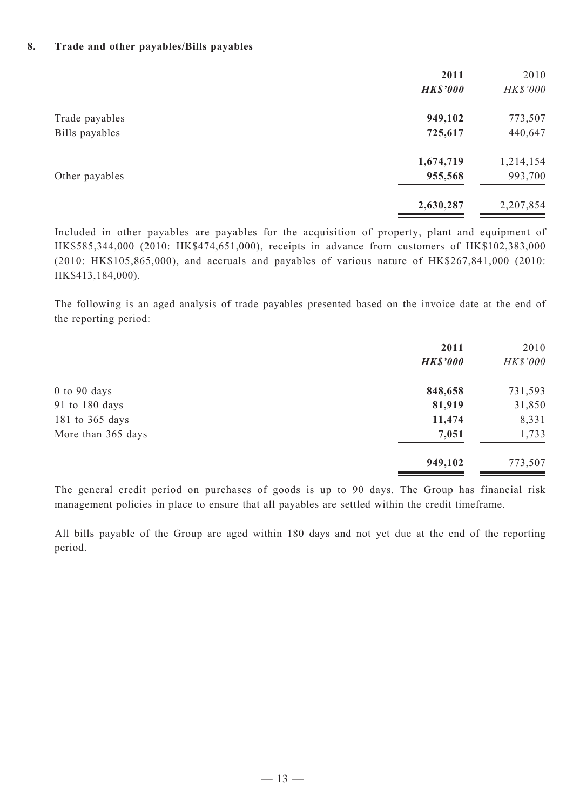#### **8. Trade and other payables/Bills payables**

|                | 2011<br><b>HK\$'000</b> | 2010<br>HK\$'000 |
|----------------|-------------------------|------------------|
| Trade payables | 949,102                 | 773,507          |
| Bills payables | 725,617                 | 440,647          |
|                | 1,674,719               | 1,214,154        |
| Other payables | 955,568                 | 993,700          |
|                | 2,630,287               | 2,207,854        |

Included in other payables are payables for the acquisition of property, plant and equipment of HK\$585,344,000 (2010: HK\$474,651,000), receipts in advance from customers of HK\$102,383,000 (2010: HK\$105,865,000), and accruals and payables of various nature of HK\$267,841,000 (2010: HK\$413,184,000).

The following is an aged analysis of trade payables presented based on the invoice date at the end of the reporting period:

|                    | 2011            | 2010     |
|--------------------|-----------------|----------|
|                    | <b>HK\$'000</b> | HK\$'000 |
| $0$ to $90$ days   | 848,658         | 731,593  |
| 91 to 180 days     | 81,919          | 31,850   |
| 181 to 365 days    | 11,474          | 8,331    |
| More than 365 days | 7,051           | 1,733    |
|                    | 949,102         | 773,507  |

The general credit period on purchases of goods is up to 90 days. The Group has financial risk management policies in place to ensure that all payables are settled within the credit timeframe.

All bills payable of the Group are aged within 180 days and not yet due at the end of the reporting period.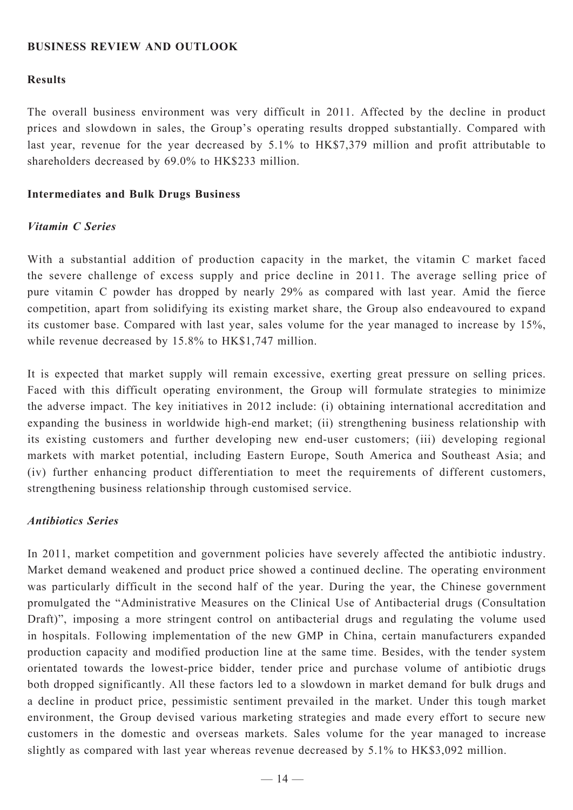### **Business Review and Outlook**

#### **Results**

The overall business environment was very difficult in 2011. Affected by the decline in product prices and slowdown in sales, the Group's operating results dropped substantially. Compared with last year, revenue for the year decreased by 5.1% to HK\$7,379 million and profit attributable to shareholders decreased by 69.0% to HK\$233 million.

#### **Intermediates and Bulk Drugs Business**

#### *Vitamin C Series*

With a substantial addition of production capacity in the market, the vitamin C market faced the severe challenge of excess supply and price decline in 2011. The average selling price of pure vitamin C powder has dropped by nearly 29% as compared with last year. Amid the fierce competition, apart from solidifying its existing market share, the Group also endeavoured to expand its customer base. Compared with last year, sales volume for the year managed to increase by 15%, while revenue decreased by 15.8% to HK\$1,747 million.

It is expected that market supply will remain excessive, exerting great pressure on selling prices. Faced with this difficult operating environment, the Group will formulate strategies to minimize the adverse impact. The key initiatives in 2012 include: (i) obtaining international accreditation and expanding the business in worldwide high-end market; (ii) strengthening business relationship with its existing customers and further developing new end-user customers; (iii) developing regional markets with market potential, including Eastern Europe, South America and Southeast Asia; and (iv) further enhancing product differentiation to meet the requirements of different customers, strengthening business relationship through customised service.

### *Antibiotics Series*

In 2011, market competition and government policies have severely affected the antibiotic industry. Market demand weakened and product price showed a continued decline. The operating environment was particularly difficult in the second half of the year. During the year, the Chinese government promulgated the "Administrative Measures on the Clinical Use of Antibacterial drugs (Consultation Draft)", imposing a more stringent control on antibacterial drugs and regulating the volume used in hospitals. Following implementation of the new GMP in China, certain manufacturers expanded production capacity and modified production line at the same time. Besides, with the tender system orientated towards the lowest-price bidder, tender price and purchase volume of antibiotic drugs both dropped significantly. All these factors led to a slowdown in market demand for bulk drugs and a decline in product price, pessimistic sentiment prevailed in the market. Under this tough market environment, the Group devised various marketing strategies and made every effort to secure new customers in the domestic and overseas markets. Sales volume for the year managed to increase slightly as compared with last year whereas revenue decreased by 5.1% to HK\$3,092 million.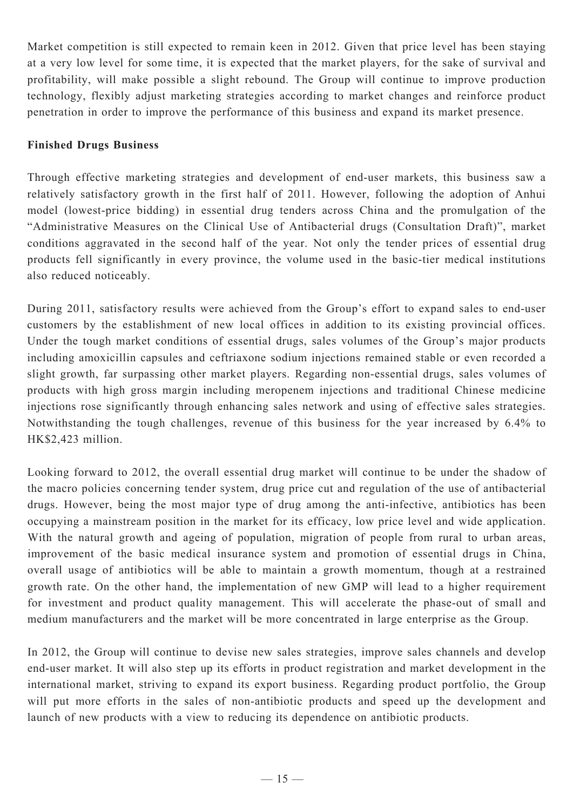Market competition is still expected to remain keen in 2012. Given that price level has been staying at a very low level for some time, it is expected that the market players, for the sake of survival and profitability, will make possible a slight rebound. The Group will continue to improve production technology, flexibly adjust marketing strategies according to market changes and reinforce product penetration in order to improve the performance of this business and expand its market presence.

## **Finished Drugs Business**

Through effective marketing strategies and development of end-user markets, this business saw a relatively satisfactory growth in the first half of 2011. However, following the adoption of Anhui model (lowest-price bidding) in essential drug tenders across China and the promulgation of the "Administrative Measures on the Clinical Use of Antibacterial drugs (Consultation Draft)", market conditions aggravated in the second half of the year. Not only the tender prices of essential drug products fell significantly in every province, the volume used in the basic-tier medical institutions also reduced noticeably.

During 2011, satisfactory results were achieved from the Group's effort to expand sales to end-user customers by the establishment of new local offices in addition to its existing provincial offices. Under the tough market conditions of essential drugs, sales volumes of the Group's major products including amoxicillin capsules and ceftriaxone sodium injections remained stable or even recorded a slight growth, far surpassing other market players. Regarding non-essential drugs, sales volumes of products with high gross margin including meropenem injections and traditional Chinese medicine injections rose significantly through enhancing sales network and using of effective sales strategies. Notwithstanding the tough challenges, revenue of this business for the year increased by 6.4% to HK\$2,423 million.

Looking forward to 2012, the overall essential drug market will continue to be under the shadow of the macro policies concerning tender system, drug price cut and regulation of the use of antibacterial drugs. However, being the most major type of drug among the anti-infective, antibiotics has been occupying a mainstream position in the market for its efficacy, low price level and wide application. With the natural growth and ageing of population, migration of people from rural to urban areas, improvement of the basic medical insurance system and promotion of essential drugs in China, overall usage of antibiotics will be able to maintain a growth momentum, though at a restrained growth rate. On the other hand, the implementation of new GMP will lead to a higher requirement for investment and product quality management. This will accelerate the phase-out of small and medium manufacturers and the market will be more concentrated in large enterprise as the Group.

In 2012, the Group will continue to devise new sales strategies, improve sales channels and develop end-user market. It will also step up its efforts in product registration and market development in the international market, striving to expand its export business. Regarding product portfolio, the Group will put more efforts in the sales of non-antibiotic products and speed up the development and launch of new products with a view to reducing its dependence on antibiotic products.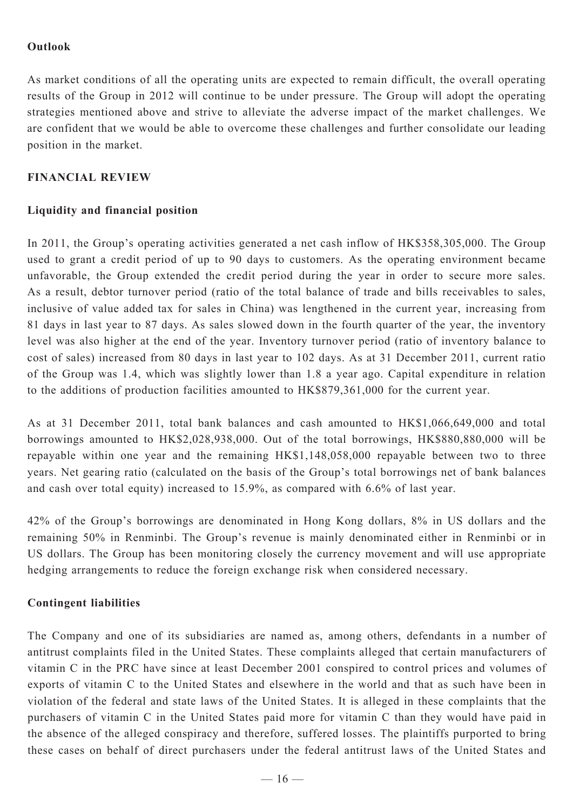# **Outlook**

As market conditions of all the operating units are expected to remain difficult, the overall operating results of the Group in 2012 will continue to be under pressure. The Group will adopt the operating strategies mentioned above and strive to alleviate the adverse impact of the market challenges. We are confident that we would be able to overcome these challenges and further consolidate our leading position in the market.

# **Financial Review**

## **Liquidity and financial position**

In 2011, the Group's operating activities generated a net cash inflow of HK\$358,305,000. The Group used to grant a credit period of up to 90 days to customers. As the operating environment became unfavorable, the Group extended the credit period during the year in order to secure more sales. As a result, debtor turnover period (ratio of the total balance of trade and bills receivables to sales, inclusive of value added tax for sales in China) was lengthened in the current year, increasing from 81 days in last year to 87 days. As sales slowed down in the fourth quarter of the year, the inventory level was also higher at the end of the year. Inventory turnover period (ratio of inventory balance to cost of sales) increased from 80 days in last year to 102 days. As at 31 December 2011, current ratio of the Group was 1.4, which was slightly lower than 1.8 a year ago. Capital expenditure in relation to the additions of production facilities amounted to HK\$879,361,000 for the current year.

As at 31 December 2011, total bank balances and cash amounted to HK\$1,066,649,000 and total borrowings amounted to HK\$2,028,938,000. Out of the total borrowings, HK\$880,880,000 will be repayable within one year and the remaining HK\$1,148,058,000 repayable between two to three years. Net gearing ratio (calculated on the basis of the Group's total borrowings net of bank balances and cash over total equity) increased to 15.9%, as compared with 6.6% of last year.

42% of the Group's borrowings are denominated in Hong Kong dollars, 8% in US dollars and the remaining 50% in Renminbi. The Group's revenue is mainly denominated either in Renminbi or in US dollars. The Group has been monitoring closely the currency movement and will use appropriate hedging arrangements to reduce the foreign exchange risk when considered necessary.

### **Contingent liabilities**

The Company and one of its subsidiaries are named as, among others, defendants in a number of antitrust complaints filed in the United States. These complaints alleged that certain manufacturers of vitamin C in the PRC have since at least December 2001 conspired to control prices and volumes of exports of vitamin C to the United States and elsewhere in the world and that as such have been in violation of the federal and state laws of the United States. It is alleged in these complaints that the purchasers of vitamin C in the United States paid more for vitamin C than they would have paid in the absence of the alleged conspiracy and therefore, suffered losses. The plaintiffs purported to bring these cases on behalf of direct purchasers under the federal antitrust laws of the United States and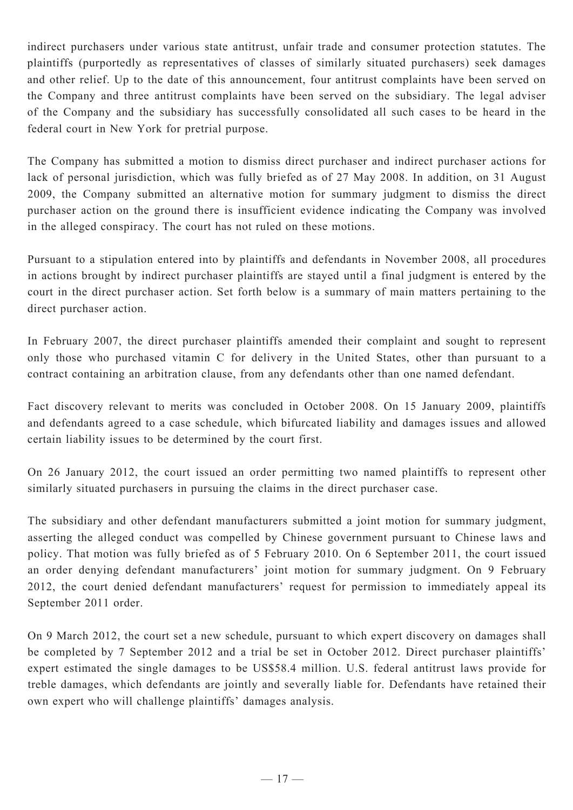indirect purchasers under various state antitrust, unfair trade and consumer protection statutes. The plaintiffs (purportedly as representatives of classes of similarly situated purchasers) seek damages and other relief. Up to the date of this announcement, four antitrust complaints have been served on the Company and three antitrust complaints have been served on the subsidiary. The legal adviser of the Company and the subsidiary has successfully consolidated all such cases to be heard in the federal court in New York for pretrial purpose.

The Company has submitted a motion to dismiss direct purchaser and indirect purchaser actions for lack of personal jurisdiction, which was fully briefed as of 27 May 2008. In addition, on 31 August 2009, the Company submitted an alternative motion for summary judgment to dismiss the direct purchaser action on the ground there is insufficient evidence indicating the Company was involved in the alleged conspiracy. The court has not ruled on these motions.

Pursuant to a stipulation entered into by plaintiffs and defendants in November 2008, all procedures in actions brought by indirect purchaser plaintiffs are stayed until a final judgment is entered by the court in the direct purchaser action. Set forth below is a summary of main matters pertaining to the direct purchaser action.

In February 2007, the direct purchaser plaintiffs amended their complaint and sought to represent only those who purchased vitamin C for delivery in the United States, other than pursuant to a contract containing an arbitration clause, from any defendants other than one named defendant.

Fact discovery relevant to merits was concluded in October 2008. On 15 January 2009, plaintiffs and defendants agreed to a case schedule, which bifurcated liability and damages issues and allowed certain liability issues to be determined by the court first.

On 26 January 2012, the court issued an order permitting two named plaintiffs to represent other similarly situated purchasers in pursuing the claims in the direct purchaser case.

The subsidiary and other defendant manufacturers submitted a joint motion for summary judgment, asserting the alleged conduct was compelled by Chinese government pursuant to Chinese laws and policy. That motion was fully briefed as of 5 February 2010. On 6 September 2011, the court issued an order denying defendant manufacturers' joint motion for summary judgment. On 9 February 2012, the court denied defendant manufacturers' request for permission to immediately appeal its September 2011 order.

On 9 March 2012, the court set a new schedule, pursuant to which expert discovery on damages shall be completed by 7 September 2012 and a trial be set in October 2012. Direct purchaser plaintiffs' expert estimated the single damages to be US\$58.4 million. U.S. federal antitrust laws provide for treble damages, which defendants are jointly and severally liable for. Defendants have retained their own expert who will challenge plaintiffs' damages analysis.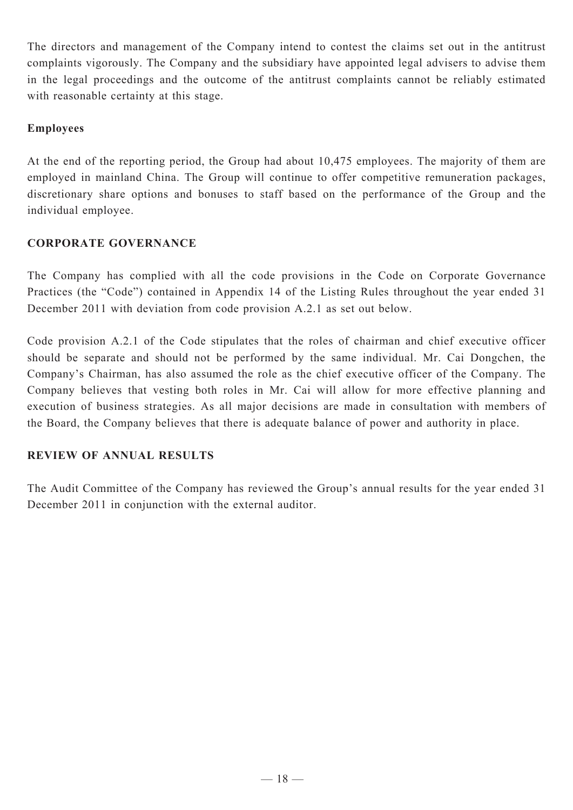The directors and management of the Company intend to contest the claims set out in the antitrust complaints vigorously. The Company and the subsidiary have appointed legal advisers to advise them in the legal proceedings and the outcome of the antitrust complaints cannot be reliably estimated with reasonable certainty at this stage.

# **Employees**

At the end of the reporting period, the Group had about 10,475 employees. The majority of them are employed in mainland China. The Group will continue to offer competitive remuneration packages, discretionary share options and bonuses to staff based on the performance of the Group and the individual employee.

# **CORPORATE GOVERNANCE**

The Company has complied with all the code provisions in the Code on Corporate Governance Practices (the "Code") contained in Appendix 14 of the Listing Rules throughout the year ended 31 December 2011 with deviation from code provision A.2.1 as set out below.

Code provision A.2.1 of the Code stipulates that the roles of chairman and chief executive officer should be separate and should not be performed by the same individual. Mr. Cai Dongchen, the Company's Chairman, has also assumed the role as the chief executive officer of the Company. The Company believes that vesting both roles in Mr. Cai will allow for more effective planning and execution of business strategies. As all major decisions are made in consultation with members of the Board, the Company believes that there is adequate balance of power and authority in place.

# **REVIEW OF ANNUAL RESULTS**

The Audit Committee of the Company has reviewed the Group's annual results for the year ended 31 December 2011 in conjunction with the external auditor.